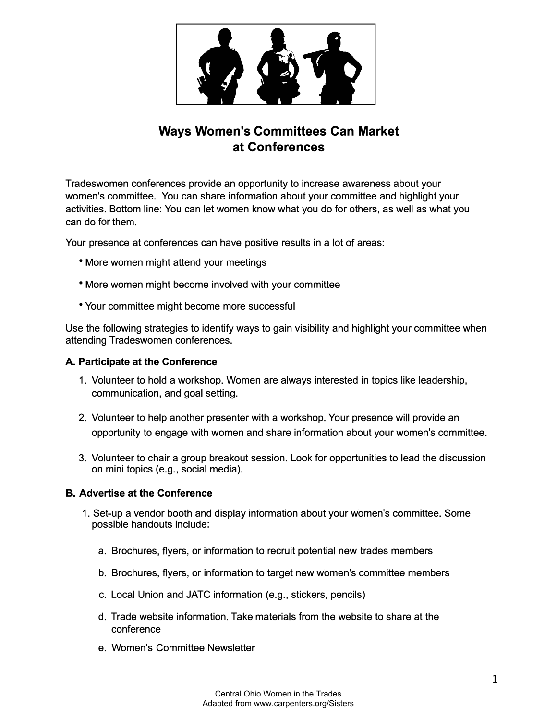

# **Ways Women's Committees Can Market at Conferences**

Tradeswomen conferences provide an opportunity to increase awareness about your women's committee. You can share information about your committee and highlight your activities. Bottom line: You can let women know what you do for others, as well as what you can do for them.

Your presence at conferences can have positive results in a lot of areas:

- More women might attend your meetings
- More women might become involved with your committee
- Your committee might become more successful

Use the following strategies to identify ways to gain visibility and highlight your committee when attending Tradeswomen conferences.

#### **A. Participate at the Conference**

- 1. Volunteer to hold a workshop. Women are always interested in topics like leadership, communication, and goal setting.
- 2. Volunteer to help another presenter with a workshop. Your presence will provide an opportunity to engage with women and share information about your women's committee.
- 3. Volunteer to chair a group breakout session. Look for opportunities to lead the discussion on mini topics (e.g., social media).

### **B. Advertise at the Conference**

- 1. Set-up a vendor booth and display information about your women's committee. Some possible handouts include:
	- a. Brochures, flyers, or information to recruit potential new trades members
	- b. Brochures, f lyers, or information to target new women's committee members
	- c. Local Union and JATC information (e.g., stickers, pencils)
	- d. Trade website information. Take materials from the website to share at the conference
	- e. Women's Committee Newsletter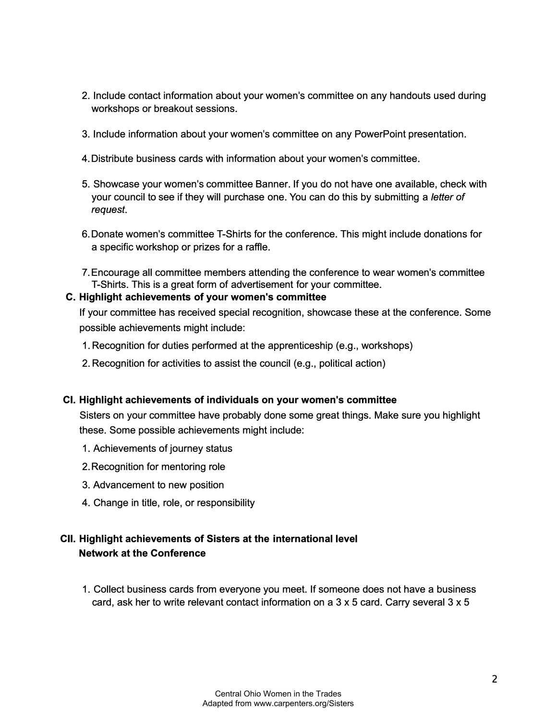- 2. Include contact information about your women's committee on any handouts used during workshops or breakout sessions.
- 3. Include information about your women's committee on any PowerPoint presentation.
- 4.Distribute business cards with information about your women's committee.
- 5. Showcase your women's committee Banner. If you do not have one available, check with your council to see if they will purchase one. You can do this by submitting a *letter of request.*
- 6.Donate women's committee T-Shirts for the conference. This might include donations for a specific workshop or prizes for a raffle.
- 7. Encourage all committee members attending the conference to wear women's committee T-Shirts. This is a great form of advertisement for your committee.

## **C. Highlight achievements of your women's committee**

If your committee has received special recognition, showcase these at the conference. Some possible achievements might include:

- 1. Recognition for duties performed at the apprenticeship (e.g., workshops)
- 2. Recognition for activities to assist the council (e.g., political action)

# **CI. Highlight achievements of individuals on your women's committee**

Sisters on your committee have probably done some great things. Make sure you highlight these. Some possible achievements might include:

- 1. Achievements of journey status
- 2.Recognition for mentoring role
- 3. Advancement to new position
- 4. Change in title, role, or responsibility

# **CII. Highlight achievements of Sisters at the international level Network at the Conference**

1. Collect business cards from everyone you meet. If someone does not have a business card, ask her to write relevant contact information on a 3 x 5 card. Carry several 3 x 5